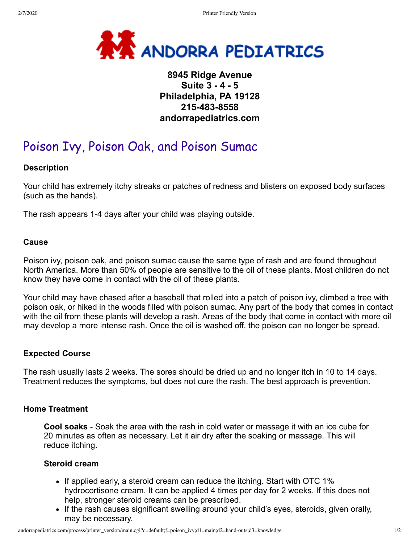

# **8945 Ridge Avenue Suite 3 - 4 - 5 Philadelphia, PA 19128 215-483-8558 andorrapediatrics.com**

# Poison Ivy, Poison Oak, and Poison Sumac

## **Description**

Your child has extremely itchy streaks or patches of redness and blisters on exposed body surfaces (such as the hands).

The rash appears 1-4 days after your child was playing outside.

#### **Cause**

Poison ivy, poison oak, and poison sumac cause the same type of rash and are found throughout North America. More than 50% of people are sensitive to the oil of these plants. Most children do not know they have come in contact with the oil of these plants.

Your child may have chased after a baseball that rolled into a patch of poison ivy, climbed a tree with poison oak, or hiked in the woods filled with poison sumac. Any part of the body that comes in contact with the oil from these plants will develop a rash. Areas of the body that come in contact with more oil may develop a more intense rash. Once the oil is washed off, the poison can no longer be spread.

#### **Expected Course**

The rash usually lasts 2 weeks. The sores should be dried up and no longer itch in 10 to 14 days. Treatment reduces the symptoms, but does not cure the rash. The best approach is prevention.

#### **Home Treatment**

**Cool soaks** - Soak the area with the rash in cold water or massage it with an ice cube for 20 minutes as often as necessary. Let it air dry after the soaking or massage. This will reduce itching.

#### **Steroid cream**

- If applied early, a steroid cream can reduce the itching. Start with OTC 1% hydrocortisone cream. It can be applied 4 times per day for 2 weeks. If this does not help, stronger steroid creams can be prescribed.
- If the rash causes significant swelling around your child's eyes, steroids, given orally, may be necessary.